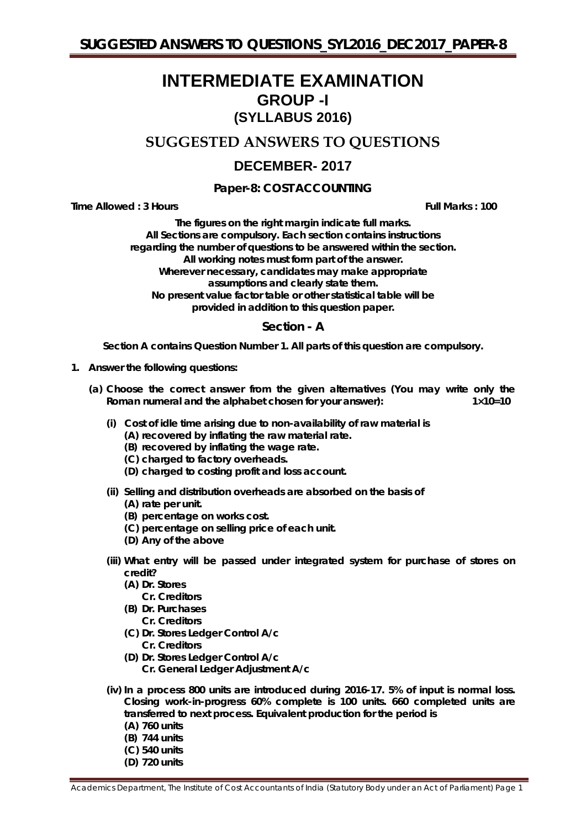# **INTERMEDIATE EXAMINATION GROUP -I (SYLLABUS 2016)**

# **SUGGESTED ANSWERS TO QUESTIONS**

# **DECEMBER- 2017**

**Paper-8: COST ACCOUNTING**

**Time Allowed : 3 Hours Full Marks : 100**

*The figures on the right margin indicate full marks.* **All Sections are compulsory. Each section contains instructions regarding the number of questions to be answered within the section. All working notes must form part of the answer. Wherever necessary, candidates may make appropriate assumptions and clearly state them. No present value factor table or other statistical table will be provided in addition to this question paper.**

### **Section - A**

*Section A contains Question Number 1. All parts of this question are compulsory.*

- **1. Answer the following questions:**
	- **(a) Choose the correct answer from the given alternatives** *(You may write only the Roman numeral and the alphabet chosen for your answer):* 1×10=10
		- **(i) Cost of idle time arising due to non-availability of raw material is**
			- **(A) recovered by inflating the raw material rate.**
			- **(B) recovered by inflating the wage rate.**
			- **(C) charged to factory overheads.**
			- **(D) charged to costing profit and loss account.**
		- **(ii) Selling and distribution overheads are absorbed on the basis of**
			- **(A) rate per unit.**
			- **(B) percentage on works cost.**
			- **(C) percentage on selling price of each unit.**
			- **(D) Any of the above**
		- **(iii) What entry will be passed under integrated system for purchase of stores on credit?**
			- **(A) Dr. Stores** 
				- **Cr. Creditors**
			- **(B) Dr. Purchases** 
				- **Cr. Creditors**
			- **(C) Dr. Stores Ledger Control A/c Cr. Creditors**
			- **(D) Dr. Stores Ledger Control A/c Cr. General Ledger Adjustment A/c**
		- **(iv) In a process 800 units are introduced during 2016-17. 5% of input is normal loss. Closing work-in-progress 60% complete is 100 units. 660 completed units are transferred to next process. Equivalent production for the period is**
			- **(A) 760 units**
			- **(B) 744 units**
			- **(C) 540 units**
			- **(D) 720 units**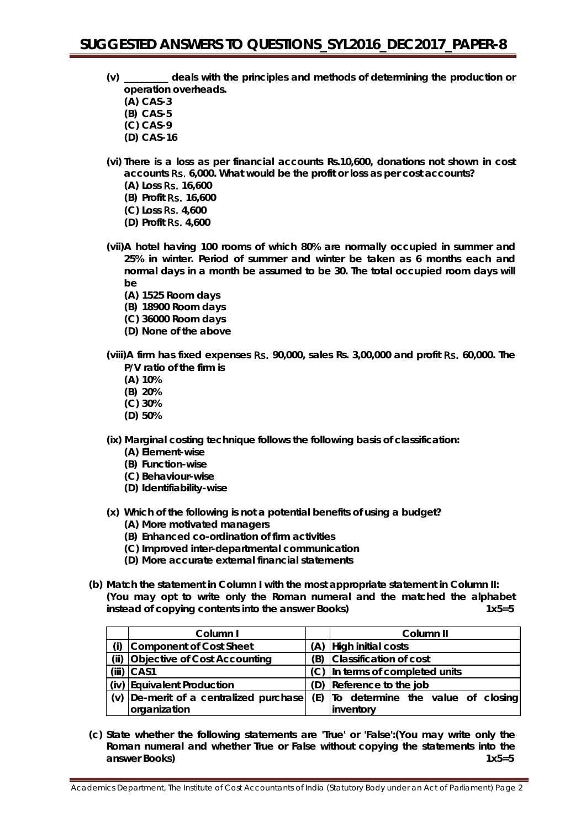- **(v) \_\_\_\_\_\_\_\_\_ deals with the principles and methods of determining the production or operation overheads.**
	- **(A) CAS-3**
	- **(B) CAS-5**
	- **(C) CAS-9**
	- **(D) CAS-16**
- **(vi) There is a loss as per financial accounts Rs.10,600, donations not shown in cost accounts** Rs. **6,000. What would be the profit or loss as per cost accounts?**
	- **(A) Loss** Rs. **16,600**
	- **(B) Profit** Rs. **16,600 (C) Loss** Rs. **4,600**
	- **(D) Profit** Rs. **4,600**
- **(vii)A hotel having 100 rooms of which 80% are normally occupied in summer and 25% in winter. Period of summer and winter be taken as 6 months each and normal days in a month be assumed to be 30. The total occupied room days will be**
	- **(A) 1525 Room days**
	- **(B) 18900 Room days**
	- **(C) 36000 Room days**
	- **(D) None of the above**

**(viii)A firm has fixed expenses** Rs. **90,000, sales Rs. 3,00,000 and profit** Rs. **60,000. The P/V ratio of the firm is**

- **(A) 10%**
- **(B) 20%**
- **(C) 30%**
- **(D) 50%**

**(ix) Marginal costing technique follows the following basis of classification:**

- **(A) Element-wise**
- **(B) Function-wise**
- **(C) Behaviour-wise**
- **(D) Identifiability-wise**
- **(x) Which of the following is not a potential benefits of using a budget?**
	- **(A) More motivated managers**
	- **(B) Enhanced co-ordination of firm activities**
	- **(C) Improved inter-departmental communication**
	- **(D) More accurate external financial statements**
- **(b) Match the statement in Column I with the most appropriate statement in Column II: (You may opt to write only the Roman numeral and the matched the alphabet instead of copying contents into the answer Books) 1x5=5**

|      | Column I                            | Column II                             |  |  |  |  |
|------|-------------------------------------|---------------------------------------|--|--|--|--|
|      | Component of Cost Sheet             | (A) High initial costs                |  |  |  |  |
| (ii) | <b>Objective of Cost Accounting</b> | (B) Classification of cost            |  |  |  |  |
|      | $(iii)$ CAS1                        | (C) In terms of completed units       |  |  |  |  |
|      | (iv) Equivalent Production          | (D) Reference to the job              |  |  |  |  |
| (v)  | De-merit of a centralized purchase  | (E) To determine the value of closing |  |  |  |  |
|      | organization                        | inventory                             |  |  |  |  |

**(c) State whether the following statements are 'True' or 'False':(You may write only the Roman numeral and whether True or False without copying the statements into the answer Books)** 1x5=5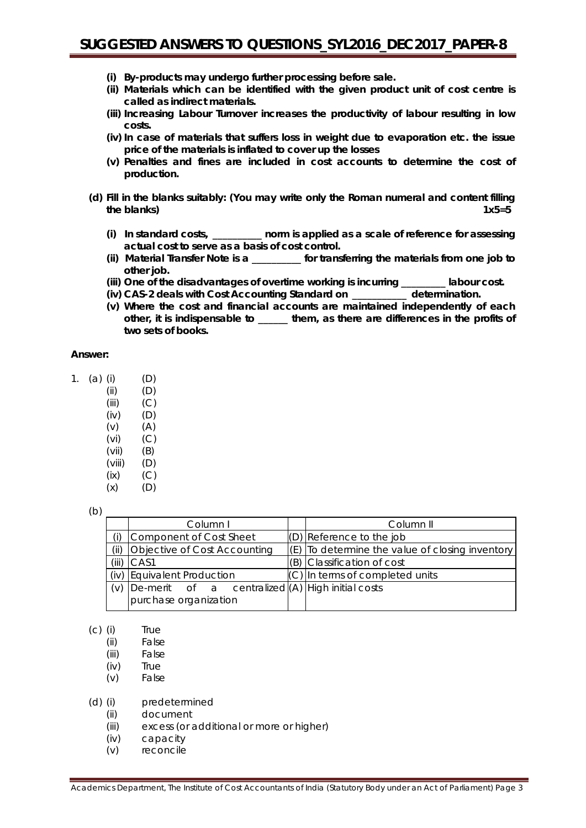- **(i) By-products may undergo further processing before sale.**
- **(ii) Materials which can be identified with the given product unit of cost centre is called as indirect materials.**
- **(iii) Increasing Labour Turnover increases the productivity of labour resulting in low costs.**
- **(iv) In case of materials that suffers loss in weight due to evaporation etc. the issue price of the materials is inflated to cover up the losses**
- **(v) Penalties and fines are included in cost accounts to determine the cost of production.**
- **(d) Fill in the blanks suitably: (You may write only the Roman numeral and content filling the blanks)** 1x5=5
	- **(i) In standard costs, \_\_\_\_\_\_\_\_\_\_ norm is applied as a scale of reference for assessing actual cost to serve as a basis of cost control.**
	- **(ii) Material Transfer Note is a \_\_\_\_\_\_\_\_\_\_ for transferring the materials from one job to other job.**
	- **(iii) One of the disadvantages of overtime working is incurring \_\_\_\_\_\_\_\_\_ labour cost.**
	- **(iv) CAS-2 deals with Cost Accounting Standard on \_\_\_\_\_\_\_\_\_\_\_ determination.**
	- **(v) Where the cost and financial accounts are maintained independently of each other, it is indispensable to \_\_\_\_\_\_ them, as there are differences in the profits of two sets of books.**

### **Answer:**

| 1. | $(a)$ (i) |        | (D) |
|----|-----------|--------|-----|
|    |           | (ii)   | (D) |
|    |           | (iii)  | (C) |
|    |           | (iv)   | (D) |
|    |           | (v)    | (A) |
|    |           | (vi)   | (C) |
|    |           | (vii)  | (B) |
|    |           | (viii) | (D) |
|    |           | (ix)   | (C) |
|    |           | (x)    | (D) |

(b)

|       | Column I                                         | Column II                                                       |
|-------|--------------------------------------------------|-----------------------------------------------------------------|
|       | Component of Cost Sheet                          | $(D)$ Reference to the job                                      |
| (ii)  | <b>Objective of Cost Accounting</b>              | $\vert$ (E) $\vert$ To determine the value of closing inventory |
| (iii) | CAS1                                             | $(B)$ Classification of cost                                    |
|       | (iv) Equivalent Production                       | $(C)$ In terms of completed units                               |
| (V)   | De-merit of a centralized (A) High initial costs |                                                                 |
|       | purchase organization                            |                                                                 |

- (c) (i) True
	- (ii) False
	- (iii) False
	- (iv) True
	- (v) False

#### (d) (i) predetermined

- (ii) document
- (iii) excess (or additional or more or higher)
- (iv) capacity
- (v) reconcile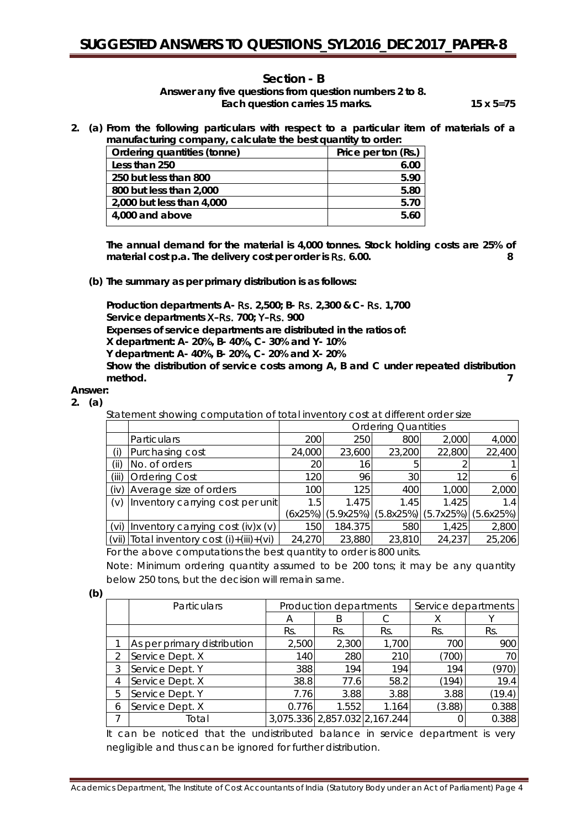### **Section - B**

*Answer any five questions from question numbers 2 to 8. Each question carries 15 marks. 15 x 5=75*

**2. (a) From the following particulars with respect to a particular item of materials of a manufacturing company, calculate the best quantity to order:**

| Ordering quantities (tonne) | Price per ton (Rs.) |
|-----------------------------|---------------------|
| Less than 250               | 6.00                |
| 250 but less than 800       | 5.90                |
| 800 but less than 2,000     | 5.80                |
| 2,000 but less than 4,000   | 5.70                |
| 4,000 and above             | 5.60                |

**The annual demand for the material is 4,000 tonnes. Stock holding costs are 25% of material cost p.a. The delivery cost per order is** Rs. **6.00. 8**

**(b) The summary as per primary distribution is as follows:**

**Production departments A-** Rs. **2,500; B-** Rs. **2,300 & C-** Rs. **1,700 Service departments** X**–**Rs. **700;** Y**–**Rs. **900 Expenses of service departments are distributed in the ratios of: X department: A- 20%, B- 40%, C- 30% and Y- 10% Y department: A- 40%, B- 20%, C- 20% and X- 20% Show the distribution of service costs among A, B and C under repeated distribution method. 7**

**Answer: 2. (a)**

Statement showing computation of total inventory cost at different order size

|       |                                                                                                                                                                                                                                                                                               | <b>Ordering Quantities</b> |           |        |                         |           |  |  |
|-------|-----------------------------------------------------------------------------------------------------------------------------------------------------------------------------------------------------------------------------------------------------------------------------------------------|----------------------------|-----------|--------|-------------------------|-----------|--|--|
|       | <b>Particulars</b>                                                                                                                                                                                                                                                                            | 200                        | 250       | 800    | 2,000                   | 4,000     |  |  |
|       | Purchasing cost                                                                                                                                                                                                                                                                               | 24,000                     | 23,600    | 23,200 | 22,800                  | 22,400    |  |  |
| (ii)  | No. of orders                                                                                                                                                                                                                                                                                 | 20                         | 16        | ხ      |                         |           |  |  |
| (iii) | <b>Ordering Cost</b>                                                                                                                                                                                                                                                                          | 120                        | 96        | 30     | 12                      |           |  |  |
| (iv)  | Average size of orders                                                                                                                                                                                                                                                                        | 100                        | 125       | 400    | 1,000                   | 2,000     |  |  |
| (v)   | Inventory carrying cost per unit                                                                                                                                                                                                                                                              | 1.5                        | 1.475     | 1.45   | 1.425                   | 1.4       |  |  |
|       |                                                                                                                                                                                                                                                                                               | (6x25%)                    | (5.9x25%) |        | $(5.8x25%)$ $(5.7x25%)$ | (5.6x25%) |  |  |
| (vi)  | Inventory carrying cost $(iv)x(v)$                                                                                                                                                                                                                                                            | 150                        | 184.375   | 580    | 1,425                   | 2,800     |  |  |
|       | (vii) $\vert$ Total inventory cost $(i) + (iii) + (vi)$                                                                                                                                                                                                                                       | 24,270                     | 23,880    | 23,810 | 24,237                  | 25,206    |  |  |
|       | $\sqrt{2}$ , $\sqrt{2}$ , $\sqrt{2}$ , $\sqrt{2}$ , $\sqrt{2}$ , $\sqrt{2}$ , $\sqrt{2}$ , $\sqrt{2}$ , $\sqrt{2}$ , $\sqrt{2}$ , $\sqrt{2}$ , $\sqrt{2}$ , $\sqrt{2}$ , $\sqrt{2}$ , $\sqrt{2}$ , $\sqrt{2}$ , $\sqrt{2}$ , $\sqrt{2}$ , $\sqrt{2}$ , $\sqrt{2}$ , $\sqrt{2}$ , $\sqrt{2}$ , |                            |           |        |                         |           |  |  |

For the above computations the best quantity to order is 800 units.

Note: Minimum ordering quantity assumed to be 200 tons; it may be any quantity below 250 tons, but the decision will remain same.

| k.           |
|--------------|
| ۰.<br>$\sim$ |

|   | Particulars                 | Production departments |                               |       | Service departments |        |
|---|-----------------------------|------------------------|-------------------------------|-------|---------------------|--------|
|   |                             | A                      | B                             |       | X                   |        |
|   |                             | Rs.                    | Rs.                           | Rs.   | Rs.                 | Rs.    |
|   | As per primary distribution | 2,500                  | 2,300                         | 1,700 | 700                 | 900    |
| 2 | Service Dept. X             | 140                    | 280                           | 210   | (700)               | 70     |
| 3 | Service Dept. Y             | 388                    | 194                           | 194   | 194                 | (970)  |
| 4 | Service Dept. X             | 38.8                   | 77.6                          | 58.2  | (194)               | 19.4   |
| 5 | Service Dept. Y             | 7.76                   | 3.88                          | 3.88  | 3.88                | (19.4) |
| 6 | Service Dept. X             | 0.776                  | 1.552                         | 1.164 | (3.88)              | 0.388  |
|   | Total                       |                        | 3,075.336 2,857.032 2,167.244 |       |                     | 0.388  |

It can be noticed that the undistributed balance in service department is very negligible and thus can be ignored for further distribution.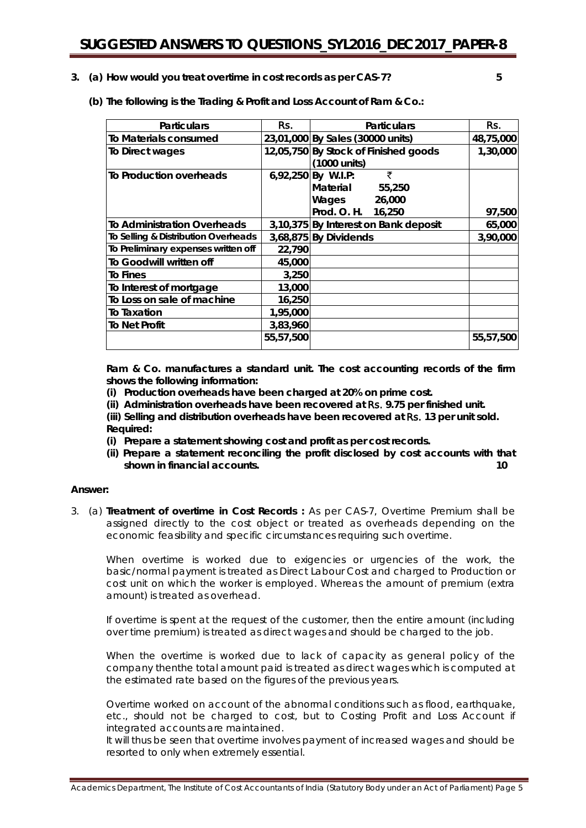**3. (a) How would you treat overtime in cost records as per CAS-7? 5**

**(b) The following is the Trading & Profit and Loss Account of Ram & Co.:**

| <b>Particulars</b>                  | Rs.       | <b>Particulars</b>                                                                     | Rs.       |
|-------------------------------------|-----------|----------------------------------------------------------------------------------------|-----------|
| To Materials consumed               |           | 23,01,000 By Sales (30000 units)                                                       | 48,75,000 |
| To Direct wages                     |           | 12,05,750 By Stock of Finished goods<br>(1000 units)                                   | 1,30,000  |
| To Production overheads             |           | ₹<br>6,92,250 By W.I.P:<br>Material<br>55,250<br>Wages<br>26,000<br>Prod. O. H. 16,250 | 97,500    |
| <b>To Administration Overheads</b>  |           | 3,10,375 By Interest on Bank deposit                                                   | 65,000    |
| To Selling & Distribution Overheads |           | $3,68,875$ By Dividends                                                                | 3,90,000  |
| To Preliminary expenses written off | 22,790    |                                                                                        |           |
| To Goodwill written off             | 45,000    |                                                                                        |           |
| To Fines                            | 3,250     |                                                                                        |           |
| To Interest of mortgage             | 13,000    |                                                                                        |           |
| To Loss on sale of machine          | 16,250    |                                                                                        |           |
| To Taxation                         | 1,95,000  |                                                                                        |           |
| <b>To Net Profit</b>                | 3,83,960  |                                                                                        |           |
|                                     | 55,57,500 |                                                                                        | 55,57,500 |

**Ram & Co. manufactures a standard unit. The cost accounting records of the firm shows the following information:**

**(i) Production overheads have been charged at 20% on prime cost.**

**(ii) Administration overheads have been recovered at** Rs. **9.75 per finished unit.**

**(iii) Selling and distribution overheads have been recovered at** Rs. **13 per unit sold. Required:**

- **(i) Prepare a statement showing cost and profit as per cost records.**
- **(ii) Prepare a statement reconciling the profit disclosed by cost accounts with that shown in financial accounts. 10**

#### **Answer:**

3. (a) **Treatment of overtime in Cost Records :** As per CAS-7, Overtime Premium shall be assigned directly to the cost object or treated as overheads depending on the economic feasibility and specific circumstances requiring such overtime.

When overtime is worked due to exigencies or urgencies of the work, the basic/normal payment is treated as Direct Labour Cost and charged to Production or cost unit on which the worker is employed. Whereas the amount of premium (extra amount) is treated as overhead.

If overtime is spent at the request of the customer, then the entire amount (including over time premium) is treated as direct wages and should be charged to the job.

When the overtime is worked due to lack of capacity as general policy of the company thenthe total amount paid is treated as direct wages which is computed at the estimated rate based on the figures of the previous years.

Overtime worked on account of the abnormal conditions such as flood, earthquake, etc., should not be charged to cost, but to Costing Profit and Loss Account if integrated accounts are maintained.

It will thus be seen that overtime involves payment of increased wages and should be resorted to only when extremely essential.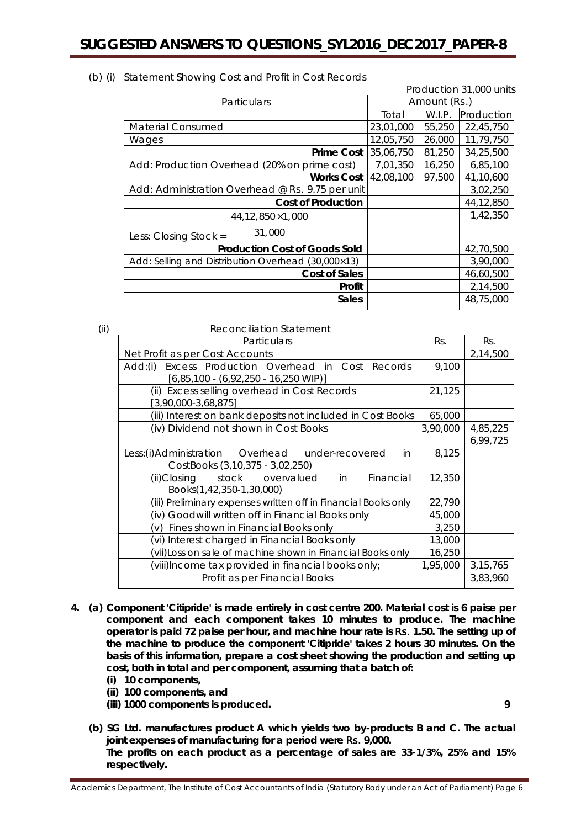| Production 31,000 units                            |           |              |            |  |
|----------------------------------------------------|-----------|--------------|------------|--|
| Particulars                                        |           | Amount (Rs.) |            |  |
|                                                    | Total     | W.I.P.       | Production |  |
| <b>Material Consumed</b>                           | 23,01,000 | 55,250       | 22,45,750  |  |
| Wages                                              | 12,05,750 | 26,000       | 11,79,750  |  |
| <b>Prime Cost</b>                                  | 35,06,750 | 81,250       | 34,25,500  |  |
| Add: Production Overhead (20% on prime cost)       | 7,01,350  | 16,250       | 6,85,100   |  |
| <b>Works Cost</b>                                  | 42,08,100 | 97,500       | 41,10,600  |  |
| Add: Administration Overhead @ Rs. 9.75 per unit   |           |              | 3,02,250   |  |
| <b>Cost of Production</b>                          |           |              | 44,12,850  |  |
| $44,12,850 \times 1,000$                           |           |              | 1,42,350   |  |
| 31,000<br>Less: Closing Stock =                    |           |              |            |  |
| <b>Production Cost of Goods Sold</b>               |           |              | 42,70,500  |  |
| Add: Selling and Distribution Overhead (30,000×13) |           |              | 3,90,000   |  |
| Cost of Sales                                      |           |              | 46,60,500  |  |
| Profit                                             |           |              | 2,14,500   |  |
| <b>Sales</b>                                       |           |              | 48,75,000  |  |

#### (b) (i) Statement Showing Cost and Profit in Cost Records

| (ii) | <b>Reconciliation Statement</b>                                                                         |          |            |
|------|---------------------------------------------------------------------------------------------------------|----------|------------|
|      | Particulars                                                                                             | Rs.      | Rs.        |
|      | Net Profit as per Cost Accounts                                                                         |          | 2,14,500   |
|      | Excess Production Overhead in Cost Records<br>Add:(i)<br>$[6,85,100 - (6,92,250 - 16,250 \text{ WIP})]$ | 9,100    |            |
|      | (ii) Excess selling overhead in Cost Records<br>$[3,90,000-3,68,875]$                                   | 21,125   |            |
|      | (iii) Interest on bank deposits not included in Cost Books                                              | 65,000   |            |
|      | (iv) Dividend not shown in Cost Books                                                                   | 3,90,000 | 4,85,225   |
|      |                                                                                                         |          | 6,99,725   |
|      | Less:(i)Administration Overhead under-recovered<br>in.<br>CostBooks (3,10,375 - 3,02,250)               | 8,125    |            |
|      | (ii)Closing<br>stock<br>Financial<br>overvalued<br>in<br>Books(1,42,350-1,30,000)                       | 12,350   |            |
|      | (iii) Preliminary expenses written off in Financial Books only                                          | 22,790   |            |
|      | Goodwill written off in Financial Books only<br>(iv)                                                    | 45,000   |            |
|      | Fines shown in Financial Books only<br>V)                                                               | 3,250    |            |
|      | (vi) Interest charged in Financial Books only                                                           | 13,000   |            |
|      | (vii)Loss on sale of machine shown in Financial Books only                                              | 16,250   |            |
|      | viii)Income tax provided in financial books only;                                                       | 1,95,000 | 3, 15, 765 |
|      | Profit as per Financial Books                                                                           |          | 3,83,960   |

- **4. (a) Component 'Citipride' is made entirely in cost centre 200. Material cost is 6 paise per component and each component takes 10 minutes to produce. The machine operator is paid 72 paise per hour, and machine hour rate is** Rs. **1.50. The setting up of the machine to produce the component 'Citipride' takes 2 hours 30 minutes. On the basis of this information, prepare a cost sheet showing the production and setting up cost, both in total and per component, assuming that a batch of:**
	- **(i) 10 components,**
	- **(ii) 100 components, and**
	- **(iii) 1000 components is produced. 9**

**(b) SG Ltd. manufactures product A which yields two by-products B and C. The actual joint expenses of manufacturing for a period were** Rs. **9,000. The profits on each product as a percentage of sales are 33-1/3%, 25% and 15% respectively.**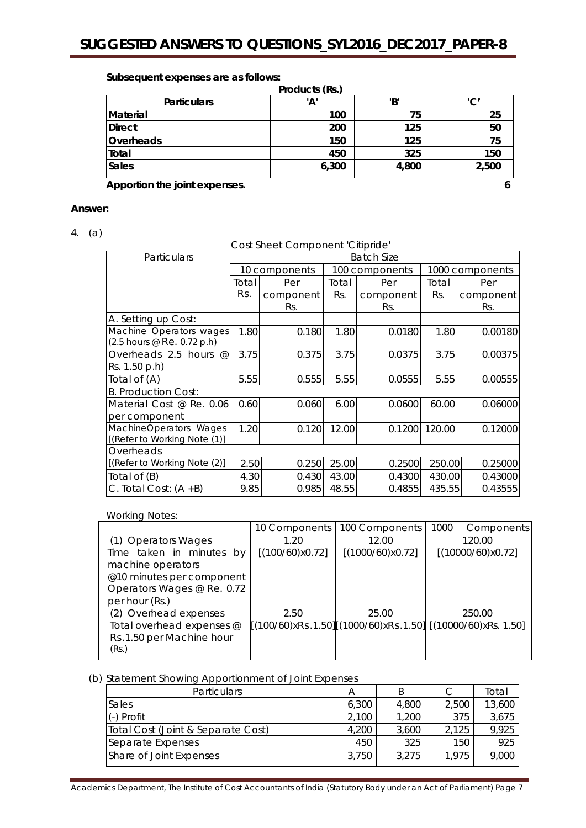| Products (Rs.)                     |       |       |       |  |  |  |
|------------------------------------|-------|-------|-------|--|--|--|
| <b>Particulars</b>                 | 'Α'   | 'В'   | 'C′   |  |  |  |
| Material                           | 100   | 75    | 25    |  |  |  |
| <b>Direct</b>                      | 200   | 125   | 50    |  |  |  |
| Overheads                          | 150   | 125   | 75    |  |  |  |
| Total                              | 450   | 325   | 150   |  |  |  |
| <b>Sales</b>                       | 6,300 | 4,800 | 2,500 |  |  |  |
| Apportion the joint expenses.<br>6 |       |       |       |  |  |  |

### **Subsequent expenses are as follows:**

# **Answer:**

4. (a)

Cost Sheet Component 'Citipride'

| Particulars                                            | <b>Batch Size</b> |               |       |                |        |                 |  |
|--------------------------------------------------------|-------------------|---------------|-------|----------------|--------|-----------------|--|
|                                                        |                   | 10 components |       | 100 components |        | 1000 components |  |
|                                                        | Total             | Per           | Total | Per            | Total  | Per             |  |
|                                                        | Rs.               | component     | Rs.   | component      | Rs.    | component       |  |
|                                                        |                   | Rs.           |       | Rs.            |        | Rs.             |  |
| A. Setting up Cost:                                    |                   |               |       |                |        |                 |  |
| Machine Operators wages<br>(2.5 hours @ Re. 0.72 p.h)  | 1.80              | 0.180         | 1.80  | 0.0180         | 1.80   | 0.00180         |  |
| Overheads 2.5 hours $@$                                | 3.75              | 0.375         | 3.75  | 0.0375         | 3.75   | 0.00375         |  |
| Rs. 1.50 p.h)                                          |                   |               |       |                |        |                 |  |
| Total of (A)                                           | 5.55              | 0.555         | 5.55  | 0.0555         | 5.55   | 0.00555         |  |
| <b>B. Production Cost:</b>                             |                   |               |       |                |        |                 |  |
| Material Cost @ Re. 0.06                               | 0.60              | 0.060         | 6.00  | 0.0600         | 60.00  | 0.06000         |  |
| per component                                          |                   |               |       |                |        |                 |  |
| MachineOperators Wages<br>[(Refer to Working Note (1)] | 1.20              | 0.120         | 12.00 | 0.1200         | 120.00 | 0.12000         |  |
| Overheads                                              |                   |               |       |                |        |                 |  |
| [(Refer to Working Note (2)]                           | 2.50              | 0.250         | 25.00 | 0.2500         | 250.00 | 0.25000         |  |
| Total of (B)                                           | 4.30              | 0.430         | 43.00 | 0.4300         | 430.00 | 0.43000         |  |
| C. Total Cost: $(A + B)$                               | 9.85              | 0.985         | 48.55 | 0.4855         | 435.55 | 0.43555         |  |

### Working Notes:

| 10 Components   | 100 Components   | 1000<br><b>Components</b>                                   |
|-----------------|------------------|-------------------------------------------------------------|
| 1.20            | 12.00            | 120.00                                                      |
| [(100/60)x0.72] | [(1000/60)x0.72] | [(10000/60)x0.72]                                           |
|                 |                  |                                                             |
|                 |                  |                                                             |
|                 |                  |                                                             |
|                 |                  |                                                             |
| 2.50            | 25.00            | 250.00                                                      |
|                 |                  |                                                             |
|                 |                  |                                                             |
|                 |                  |                                                             |
|                 |                  | $[(100/60)xRs.1.50][(1000/60)xRs.1.50][(10000/60)xRs.1.50]$ |

(b) Statement Showing Apportionment of Joint Expenses

| <b>Particulars</b>                 | А     |       | С     | Total  |
|------------------------------------|-------|-------|-------|--------|
| Sales                              | 6,300 | 4,800 | 2.500 | 13,600 |
| (-) Profit                         | 2.100 | 1,200 | 375   | 3,675  |
| Total Cost (Joint & Separate Cost) | 4,200 | 3,600 | 2,125 | 9,925  |
| Separate Expenses                  | 450   | 325   | 150   | 925    |
| Share of Joint Expenses            | 3,750 | 3.275 | 1.975 | 9,000  |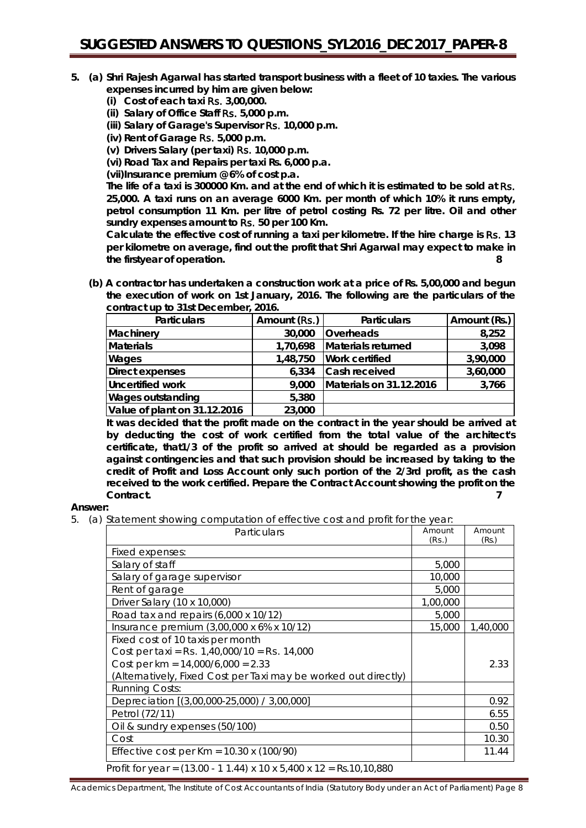- **5. (a) Shri Rajesh Agarwal has started transport business with a fleet of 10 taxies. The various expenses incurred by him are given below:**
	- **(i) Cost of each taxi** Rs. **3,00,000.**
	- **(ii) Salary of Office Staff** Rs. **5,000 p.m.**
	- **(iii) Salary of Garage's Supervisor** Rs. **10,000 p.m.**
	- **(iv) Rent of Garage** Rs. **5,000 p.m.**
	- **(v) Drivers Salary (per taxi)** Rs. **10,000 p.m.**
	- **(vi) Road Tax and Repairs per taxi Rs. 6,000 p.a.**

**(vii)Insurance premium @ 6% of cost p.a.**

**The life of a taxi is 300000 Km. and at the end of which it is estimated to be sold at** Rs. **25,000. A taxi runs on an average 6000 Km. per month of which 10% it runs empty, petrol consumption 11 Km. per litre of petrol costing Rs. 72 per litre. Oil and other sundry expenses amount to** Rs. **50 per 100 Km.**

**Calculate the effective cost of running a taxi per kilometre. If the hire charge is** Rs. **13 per kilometre on average, find out the profit that Shri Agarwal may expect to make in the firstyear of operation. 8**

**(b) A contractor has undertaken a construction work at a price of Rs. 5,00,000 and begun the execution of work on 1st January, 2016. The following are the particulars of the contract up to 31st December, 2016.**

| <b>Particulars</b>           | Amount (Rs.) | <b>Particulars</b>      | Amount (Rs.) |
|------------------------------|--------------|-------------------------|--------------|
| Machinery                    | 30,000       | Overheads               | 8,252        |
| <b>Materials</b>             | 1,70,698     | Materials returned      | 3,098        |
| Wages                        | 1,48,750     | <b>Work certified</b>   | 3,90,000     |
| Direct expenses              | 6,334        | Cash received           | 3,60,000     |
| Uncertified work             | 9,000        | Materials on 31.12.2016 | 3,766        |
| <b>Wages outstanding</b>     | 5,380        |                         |              |
| Value of plant on 31.12.2016 | 23,000       |                         |              |

**It was decided that the profit made on the contract in the year should be arrived at by deducting the cost of work certified from the total value of the architect's certificate, that1/3 of the profit so arrived at should be regarded as a provision against contingencies and that such provision should be increased by taking to the credit of Profit and Loss Account only such portion of the 2/3rd profit, as the cash received to the work certified. Prepare the Contract Account showing the profit on the Contract. 7**

### **Answer:**

5. (a) Statement showing computation of effective cost and profit for the year:

| Particulars                                                                                | Amount   | Amount   |
|--------------------------------------------------------------------------------------------|----------|----------|
|                                                                                            | (Rs.)    | (Rs.)    |
| Fixed expenses:                                                                            |          |          |
| Salary of staff                                                                            | 5,000    |          |
| Salary of garage supervisor                                                                | 10,000   |          |
| Rent of garage                                                                             | 5,000    |          |
| Driver Salary (10 x 10,000)                                                                | 1,00,000 |          |
| Road tax and repairs $(6,000 \times 10/12)$                                                | 5,000    |          |
| Insurance premium (3,00,000 x 6% x 10/12)                                                  | 15,000   | 1,40,000 |
| Fixed cost of 10 taxis per month                                                           |          |          |
| Cost per taxi = Rs. $1,40,000/10$ = Rs. $14,000$                                           |          |          |
| Cost per $km = 14,000/6,000 = 2.33$                                                        |          | 2.33     |
| (Alternatively, Fixed Cost per Taxi may be worked out directly)                            |          |          |
| <b>Running Costs:</b>                                                                      |          |          |
| Depreciation [(3,00,000-25,000) / 3,00,000]                                                |          | 0.92     |
| Petrol (72/11)                                                                             |          | 6.55     |
| Oil & sundry expenses (50/100)                                                             |          | 0.50     |
| Cost                                                                                       |          | 10.30    |
| Effective cost per $Km = 10.30 x (100/90)$                                                 |          | 11.44    |
| Profit for year = $(13.00 - 11.44) \times 10 \times 5,400 \times 12 = \text{Rs}.10,10,880$ |          |          |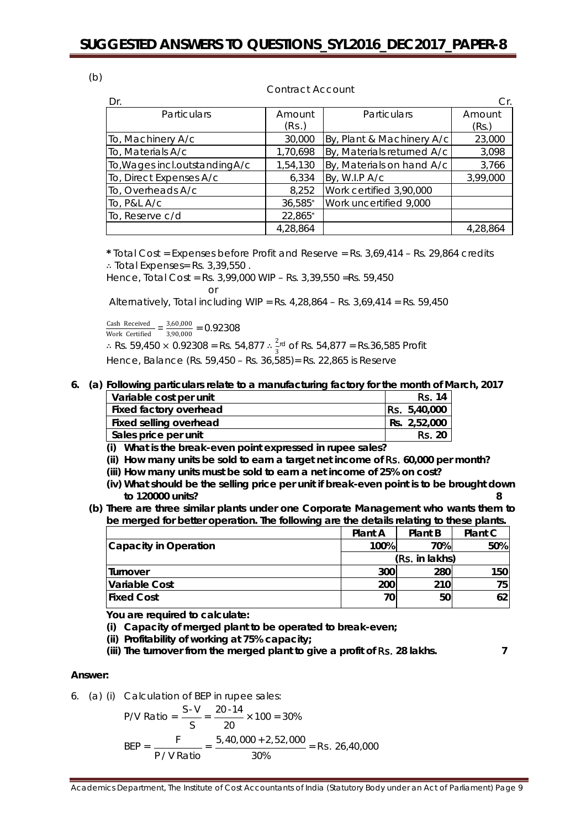(b)

### Contract Account

| Dr.                            |          |                            | Cr.      |
|--------------------------------|----------|----------------------------|----------|
| <b>Particulars</b>             | Amount   | <b>Particulars</b>         | Amount   |
|                                | (Rs.)    |                            | (Rs.)    |
| To, Machinery A/c              | 30,000   | By, Plant & Machinery A/c  | 23,000   |
| To, Materials A/c              | 1,70,698 | By, Materials returned A/c | 3,098    |
| To, Wages incl.outstanding A/c | 1,54,130 | By, Materials on hand A/c  | 3,766    |
| To, Direct Expenses A/c        | 6,334    | By, W.I.P A/c              | 3,99,000 |
| To, Overheads A/c              | 8,252    | Work certified 3,90,000    |          |
| To, P&L A/c                    | 36,585*  | Work uncertified 9,000     |          |
| To, Reserve c/d                | 22,865*  |                            |          |
|                                | 4,28,864 |                            | 4.28.864 |

**\*** Total Cost = Expenses before Profit and Reserve = Rs. 3,69,414 – Rs. 29,864 credits ∴ Total Expenses= Rs. 3,39,550 .

Hence, Total Cost = Rs. 3,99,000 WIP – Rs. 3,39,550 =Rs. 59,450  $\cap$ r

Alternatively, Total including WIP = Rs.  $4,28,864 -$  Rs.  $3,69,414 =$  Rs.  $59,450$ 

 $\frac{\text{Cash Received}}{\text{Work Certified}} = \frac{3,60,000}{3,90,000} = 0.92308$ ∴ Rs. 59,450 × 0.92308 = Rs. 54,877 ∴  $\frac{2\pi}{3}$  of Rs. 54,877 = Rs.36,585 Profit 3 Hence, Balance (Rs. 59,450 – Rs. 36,585)= Rs. 22,865 is Reserve

### **6. (a) Following particulars relate to a manufacturing factory for the month of March, 2017**

| Variable cost per unit | <b>Rs. 14</b>       |
|------------------------|---------------------|
| Fixed factory overhead | <b>Rs.</b> 5,40,000 |
| Fixed selling overhead | Rs. 2,52,000        |
| Sales price per unit   | <b>Rs. 20</b>       |

**(i) What is the break-even point expressed in rupee sales?**

**(ii) How many units be sold to earn a target net income of** Rs. **60,000 per month?**

**(iii) How many units must be sold to earn a net income of 25% on cost?** 

- **(iv) What should be the selling price per unit if break-even point is to be brought down to 120000 units? 8**
- **(b) There are three similar plants under one Corporate Management who wants them to be merged for better operation. The following are the details relating to these plants.**

|                       | <b>Plant A</b> | Plant B        | Plant C |
|-----------------------|----------------|----------------|---------|
| Capacity in Operation | 100%           | 70%            | 50%     |
|                       |                | (Rs. in lakhs) |         |
| Turnover              | 300            | 280            | 150     |
| Variable Cost         | 200            | 210            | 75      |
| <b>IFixed Cost</b>    | 70             | 50             |         |

**You are required to calculate:**

**(i) Capacity of merged plant to be operated to break-even;** 

**(ii) Profitability of working at 75% capacity;** 

**(iii) The turnover from the merged plant to give a profit of** Rs. **28 lakhs. 7**

#### **Answer:**

6. (a) (i) Calculation of BEP in rupee sales:

$$
P/V \text{ Ratio} = \frac{S \cdot V}{S} = \frac{20 \cdot 14}{20} \times 100 = 30\%
$$
\n
$$
BEP = \frac{F}{P/V \text{ Ratio}} = \frac{5,40,000 + 2,52,000}{30\%} = \text{Rs. } 26,40,000
$$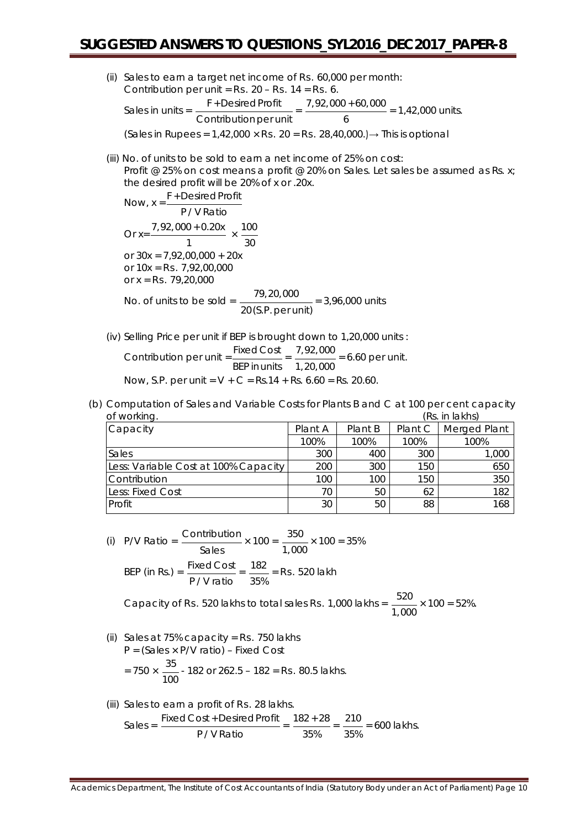- (ii) Sales to earn a target net income of Rs. 60,000 per month: Contribution per unit =  $Rs. 20 - Rs. 14 = Rs. 6$ . Sales in units =  $\frac{F + \text{Desired Profit}}{\text{Contribution per unit}} = \frac{7,92,000 + 60,000}{6}$  $= 1,42,000$  units. (Sales in Rupees =  $1,42,000 \times$  Rs. 20 = Rs. 28,40,000.)  $\rightarrow$  This is optional
- (iii) No. of units to be sold to earn a net income of 25% on cost: Profit @ 25% on cost means a profit @ 20% on Sales. Let sales be assumed as Rs. x; the desired profit will be 20% of x or .20x.

Now,  $x = \frac{F + \text{Desired Profit}}{F}$ P / V Ratio Or x= $\frac{7,92,000 + 0.20x}{1} \times \frac{100}{30}$ or  $30x = 7,92,00,000 + 20x$ or  $10x = Rs$ ,  $7.92,00,000$ or  $x = Rs$ , 79,20,000 No. of units to be sold =  $\frac{79,20,000}{20 (S.P. \text{per unit})}$  = 3,96,000 units

- (iv) Selling Price per unit if BEP is brought down to 1,20,000 units : Contribution per unit  $=\frac{\text{Fixed Cost}}{\text{BEP}$  in units  $= \frac{7,92,000}{1,20,000} = 6.60$  per unit.
	- Now, S.P. per unit =  $V + C = Rs.14 + Rs. 6.60 = Rs. 20.60$ .
- (b) Computation of Sales and Variable Costs for Plants B and C at 100 per cent capacity of working. (Rs. in lakhs)

| Capacity                             | Plant A | Plant B | Plant C | Merged Plant |
|--------------------------------------|---------|---------|---------|--------------|
|                                      | 100%    | 100%    | 100%    | 100%         |
| Sales                                | 300     | 400     | 300     | 1,000        |
| Less: Variable Cost at 100% Capacity | 200     | 300     | 150     | 650          |
| Contribution                         | 100     | 100     | 150     | 350          |
| Less: Fixed Cost                     | 70      | 50      | 62      | 182          |
| Profit                               | 30      | 50      | 88      | 168          |
|                                      |         |         |         |              |

(i) P/V Ratio = 
$$
\frac{\text{Continution}}{\text{Sales}} \times 100 = \frac{350}{1,000} \times 100 = 35\%
$$
  
BEP (in Rs.) = 
$$
\frac{\text{Fixed Cost}}{\text{P/V ratio}} = \frac{182}{35\%} = \text{Rs. } 520 \text{ lakh}
$$

Capacity of Rs. 520 lakhs to total sales Rs. 1,000 lakhs =  $\frac{520}{\sqrt{25}}$ 1,000  $\times$  100 = 52%.

- (ii) Sales at 75% capacity =  $Rs.$  750 lakhs P = (Sales × P/V ratio) – Fixed Cost  $= 750 \times \frac{35}{100}$  - 182 or 262.5 – 182 = **Rs.** 80.5 lakhs.
- (iii) Sales to earn a profit of Rs. 28 lakhs.  $\text{Sales} = \frac{\text{Fixed Cost} + \text{Desired Profit}}{P / \text{V Ratio}} = \frac{182 + 28}{35\%} = \frac{210}{35\%}$ = 600 lakhs.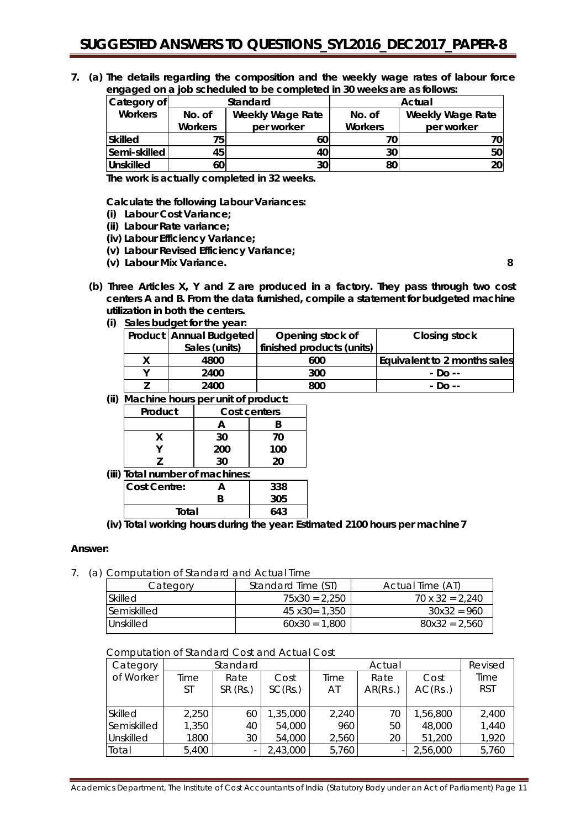**7. (a) The details regarding the composition and the weekly wage rates of labour force engaged on a job scheduled to be completed in 30 weeks are as follows:**

| Category of      | Standard                          |            | Actual         |                         |
|------------------|-----------------------------------|------------|----------------|-------------------------|
| <b>Workers</b>   | <b>Weekly Wage Rate</b><br>No. of |            | No. of         | <b>Weekly Wage Rate</b> |
|                  | <b>Workers</b>                    | per worker | <b>Workers</b> | per worker              |
| Skilled          | 75.                               | 60         |                | 70I                     |
| Semi-skilled     | 45                                | 40         | 30             | 50 l                    |
| <b>Unskilled</b> | 60                                | 30         | 80             | <b>20</b>               |

**The work is actually completed in 32 weeks.**

**Calculate the following Labour Variances:**

- **(i) Labour Cost Variance;**
- **(ii) Labour Rate variance;**
- **(iv) Labour Efficiency Variance;**
- **(v) Labour Revised Efficiency Variance;**
- **(v) Labour Mix Variance. 8**

- **(b) Three Articles X, Y and Z are produced in a factory. They pass through two cost centers A and B. From the data furnished, compile a statement for budgeted machine utilization in both the centers.**
	- **(i) Sales budget for the year:**

| Product   Annual Budgeted | Opening stock of          | Closing stock                |
|---------------------------|---------------------------|------------------------------|
| Sales (units)             | finished products (units) |                              |
| 4800                      | 600                       | Equivalent to 2 months sales |
| 2400                      | 300                       | - Do --                      |
| 2400                      | 800                       | - Do --                      |

**(ii) Machine hours per unit of product:**

|                                 | Product  | Cost centers |     |  |  |  |
|---------------------------------|----------|--------------|-----|--|--|--|
|                                 |          |              |     |  |  |  |
|                                 | x        | 30           | 70  |  |  |  |
|                                 |          | 200          | 100 |  |  |  |
|                                 | 20<br>30 |              |     |  |  |  |
| (iii) Total number of machines: |          |              |     |  |  |  |

|                                                                                                         | ווי וטנפו וושנוווטכו טו ווופוטו ווויכא |  |     |  |  |
|---------------------------------------------------------------------------------------------------------|----------------------------------------|--|-----|--|--|
|                                                                                                         | <b>Cost Centre:</b>                    |  | 338 |  |  |
|                                                                                                         |                                        |  | 305 |  |  |
|                                                                                                         | Total                                  |  | 643 |  |  |
| $\mathcal{N}$ . The set of $\mathcal{N}$<br>the company of the company of the company of the company of |                                        |  |     |  |  |

**(iv) Total working hours during the year: Estimated 2100 hours per machine7**

#### **Answer:**

7. (a) Computation of Standard and Actual Time

| Category           | Standard Time (ST) | Actual Time (AT)       |
|--------------------|--------------------|------------------------|
| <b>Skilled</b>     | $75x30 = 2.250$    | $70 \times 32 = 2.240$ |
| <b>Semiskilled</b> | 45 x30= 1.350      | $30x32 = 960$          |
| I Unskilled        | $60x30 = 1.800$    | $80x32 = 2.560$        |

### Computation of Standard Cost and Actual Cost

| Category    | Standard |         |          |       | Revised |          |            |
|-------------|----------|---------|----------|-------|---------|----------|------------|
| of Worker   | Time     | Rate    | Cost     | Time  | Rate    | Cost     | Time       |
|             | ST       | SR(Rs.) | SC(Rs.)  | AT    | AR(Rs.) | AC(Rs.)  | <b>RST</b> |
|             |          |         |          |       |         |          |            |
| Skilled     | 2,250    | 60      | 1,35,000 | 2,240 | 70      | 1,56,800 | 2,400      |
| Semiskilled | 1,350    | 40      | 54,000   | 960   | 50      | 48,000   | 1,440      |
| Unskilled   | 1800     | 30      | 54,000   | 2,560 | 20      | 51,200   | 1,920      |
| Total       | 5,400    |         | 2,43,000 | 5,760 |         | 2,56,000 | 5,760      |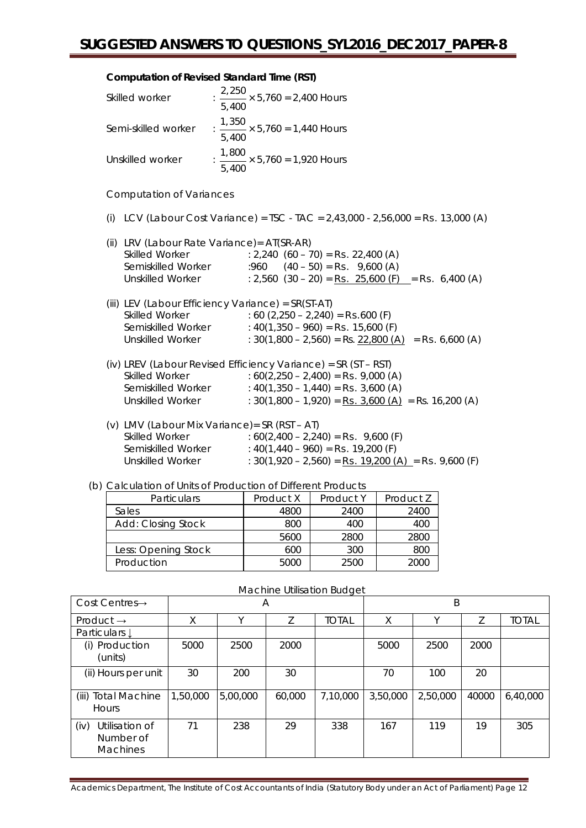### **Computation of Revised Standard Time (RST)**

| Skilled worker                                                                      | : $\frac{2,250}{1} \times 5,760 = 2,400$ Hours<br>5,400                                                                                                                                                                                                     |
|-------------------------------------------------------------------------------------|-------------------------------------------------------------------------------------------------------------------------------------------------------------------------------------------------------------------------------------------------------------|
| Semi-skilled worker                                                                 | : $\frac{1,350}{1,000} \times 5,760 = 1,440$ Hours<br>5,400                                                                                                                                                                                                 |
| Unskilled worker                                                                    | : $\frac{1,800}{1}$ × 5,760 = 1,920 Hours<br>5,400                                                                                                                                                                                                          |
| <b>Computation of Variances</b>                                                     |                                                                                                                                                                                                                                                             |
|                                                                                     | (i) LCV (Labour Cost Variance) = TSC - TAC = $2,43,000$ - $2,56,000$ = Rs. 13,000 (A)                                                                                                                                                                       |
| (ii) LRV (Labour Rate Variance) = AT(SR-AR)<br>Skilled Worker<br>Semiskilled Worker | $: 2,240$ (60 – 70) = <b>Rs.</b> 22,400 (A)<br>$.960$ $(40 - 50) =$ <b>Rs.</b> 9,600 (A)<br>Unskilled Worker : $2,560$ (30 – 20) = Rs. 25,600 (F) = Rs. 6,400 (A)                                                                                           |
| <b>Skilled Worker</b><br><b>Unskilled Worker</b>                                    | (iii) LEV (Labour Efficiency Variance) = SR(ST-AT)<br>$: 60 (2,250 - 2,240) = \text{Rs.}600 \text{ (F)}$<br>Semiskilled Worker : 40(1,350 - 960) = Rs. 15,600 (F)<br>: $30(1,800 - 2,560) = \text{Rs. } 22,800 \text{ (A)} = \text{Rs. } 6,600 \text{ (A)}$ |
| <b>Skilled Worker</b><br><b>Unskilled Worker</b>                                    | (iv) LREV (Labour Revised Efficiency Variance) = SR (ST - RST)<br>: $60(2,250 - 2,400) =$ <b>Rs.</b> 9,000 (A)<br>Semiskilled Worker : $40(1,350 - 1,440) =$ Rs. 3,600 (A)<br>: $30(1,800 - 1,920) =$ <b>Rs.</b> $3,600$ (A) = Rs. 16,200 (A)               |
| <b>Skilled Worker</b><br><b>Unskilled Worker</b>                                    | (v) LMV (Labour Mix Variance) = SR (RST - AT)<br>$:60(2,400 - 2,240) =$ <b>Rs.</b> 9,600 (F)<br>Semiskilled Worker : 40(1,440 - 960) = Rs. 19,200 (F)<br>: $30(1,920 - 2,560) =$ <b>Rs.</b> $19,200 (A) =$ <b>Rs.</b> 9,600 (F)                             |

### (b) Calculation of Units of Production of Different Products

| <b>Particulars</b>  | Product X | Product Y | Product Z |
|---------------------|-----------|-----------|-----------|
| Sales               | 4800      | 2400      | 2400      |
| Add: Closing Stock  | 800       | 400       | 400       |
|                     | 5600      | 2800      | 2800      |
| Less: Opening Stock | 600       | 300       | 800       |
| Production          | 5000      | 2500      | 2000      |

| Cost Centres $\rightarrow$                             | Α        |          |        |              | B        |          |       |              |
|--------------------------------------------------------|----------|----------|--------|--------------|----------|----------|-------|--------------|
| Product $\rightarrow$                                  | X        | v        | Z      | <b>TOTAL</b> | X        | Υ        |       | <b>TOTAL</b> |
| Particulars $\downarrow$                               |          |          |        |              |          |          |       |              |
| (i) Production<br>(units)                              | 5000     | 2500     | 2000   |              | 5000     | 2500     | 2000  |              |
| (ii) Hours per unit                                    | 30       | 200      | 30     |              | 70       | 100      | 20    |              |
| (iii) Total Machine<br><b>Hours</b>                    | 1,50,000 | 5,00,000 | 60,000 | 7,10,000     | 3,50,000 | 2,50,000 | 40000 | 6,40,000     |
| (iv)<br>Utilisation of<br>Number of<br><b>Machines</b> | 71       | 238      | 29     | 338          | 167      | 119      | 19    | 305          |

### Machine Utilisation Budget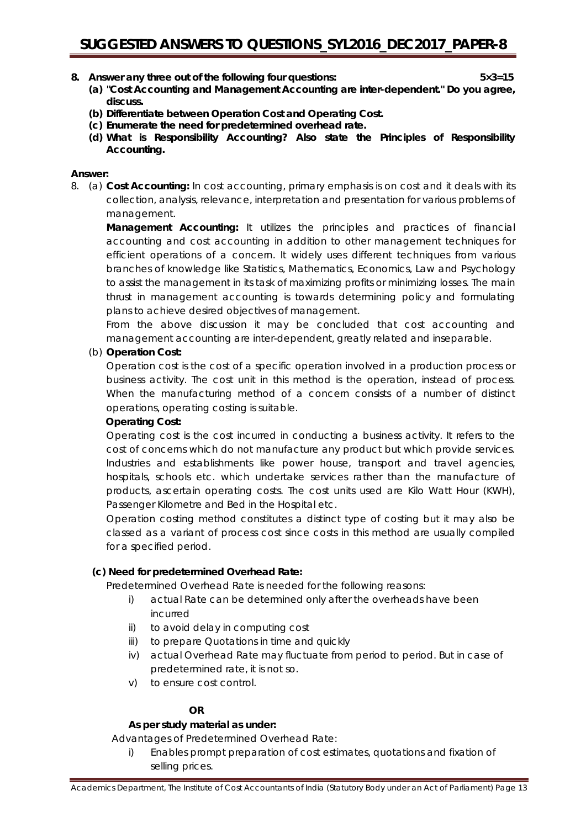- **8. Answer** *any three* **out of the following four questions: 5×3=15**
	- **(a) "Cost Accounting and Management Accounting are inter-dependent." Do you agree, discuss.**
	- **(b) Differentiate between Operation Cost and Operating Cost.**
	- **(c) Enumerate the need for predetermined overhead rate.**
	- **(d) What is Responsibility Accounting? Also state the Principles of Responsibility Accounting.**

### **Answer:**

8. (a) **Cost Accounting:** In cost accounting, primary emphasis is on cost and it deals with its collection, analysis, relevance, interpretation and presentation for various problems of management.

**Management Accounting:** It utilizes the principles and practices of financial accounting and cost accounting in addition to other management techniques for efficient operations of a concern. It widely uses different techniques from various branches of knowledge like Statistics, Mathematics, Economics, Law and Psychology to assist the management in its task of maximizing profits or minimizing losses. The main thrust in management accounting is towards determining policy and formulating plans to achieve desired objectives of management.

From the above discussion it may be concluded that cost accounting and management accounting are inter-dependent, greatly related and inseparable.

### (b) **Operation Cost:**

Operation cost is the cost of a specific operation involved in a production process or business activity. The cost unit in this method is the operation, instead of process. When the manufacturing method of a concern consists of a number of distinct operations, operating costing is suitable.

### **Operating Cost:**

Operating cost is the cost incurred in conducting a business activity. It refers to the cost of concerns which do not manufacture any product but which provide services. Industries and establishments like power house, transport and travel agencies, hospitals, schools etc. which undertake services rather than the manufacture of products, ascertain operating costs. The cost units used are Kilo Watt Hour (KWH), Passenger Kilometre and Bed in the Hospital etc.

Operation costing method constitutes a distinct type of costing but it may also be classed as a variant of process cost since costs in this method are usually compiled for a specified period.

### **(c) Need for predetermined Overhead Rate:**

Predetermined Overhead Rate is needed for the following reasons:

- i) actual Rate can be determined only after the overheads have been incurred
- ii) to avoid delay in computing cost
- iii) to prepare Quotations in time and quickly
- iv) actual Overhead Rate may fluctuate from period to period. But in case of predetermined rate, it is not so.
- v) to ensure cost control.

### **OR**

### **As per study material as under:**

Advantages of Predetermined Overhead Rate:

i) Enables prompt preparation of cost estimates, quotations and fixation of selling prices.